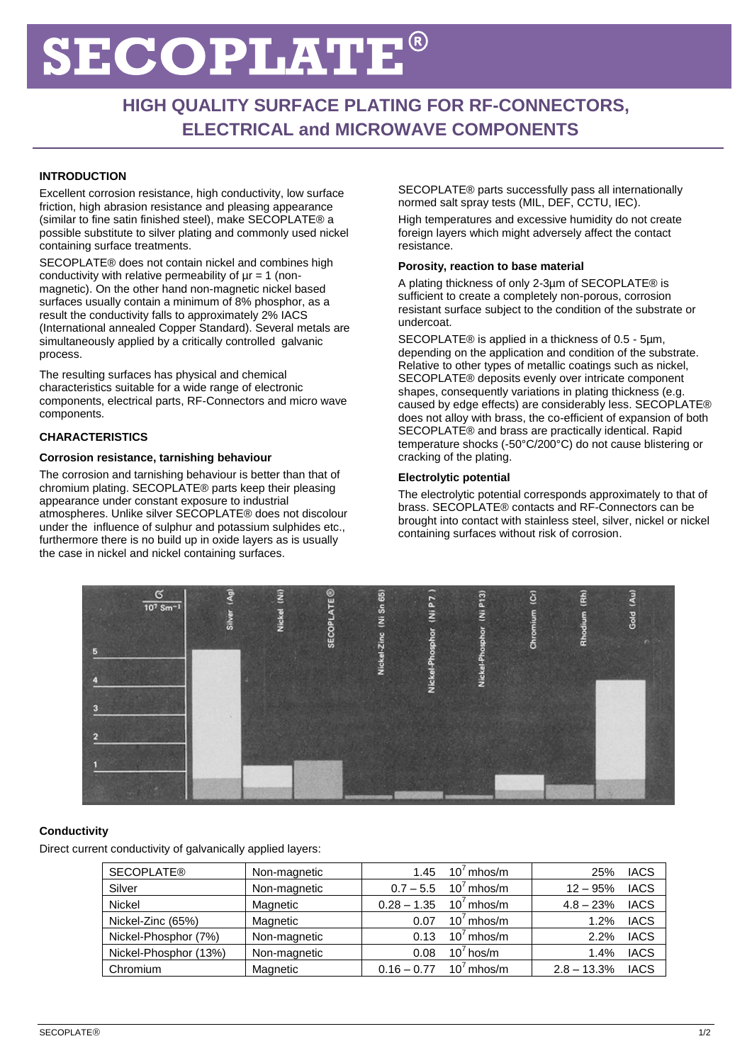# ECOPLATE `

# **HIGH QUALITY SURFACE PLATING FOR RF-CONNECTORS, ELECTRICAL and MICROWAVE COMPONENTS**

# **INTRODUCTION**

Excellent corrosion resistance, high conductivity, low surface friction, high abrasion resistance and pleasing appearance (similar to fine satin finished steel), make SECOPLATE® a possible substitute to silver plating and commonly used nickel containing surface treatments.

SECOPLATE® does not contain nickel and combines high conductivity with relative permeability of  $\mu r = 1$  (nonmagnetic). On the other hand non-magnetic nickel based surfaces usually contain a minimum of 8% phosphor, as a result the conductivity falls to approximately 2% IACS (International annealed Copper Standard). Several metals are simultaneously applied by a critically controlled galvanic process.

The resulting surfaces has physical and chemical characteristics suitable for a wide range of electronic components, electrical parts, RF-Connectors and micro wave components.

# **CHARACTERISTICS**

### **Corrosion resistance, tarnishing behaviour**

The corrosion and tarnishing behaviour is better than that of chromium plating. SECOPLATE® parts keep their pleasing appearance under constant exposure to industrial atmospheres. Unlike silver SECOPLATE® does not discolour under the influence of sulphur and potassium sulphides etc., furthermore there is no build up in oxide layers as is usually the case in nickel and nickel containing surfaces.

SECOPLATE® parts successfully pass all internationally normed salt spray tests (MIL, DEF, CCTU, IEC). High temperatures and excessive humidity do not create

foreign layers which might adversely affect the contact resistance.

### **Porosity, reaction to base material**

A plating thickness of only 2-3µm of SECOPLATE® is sufficient to create a completely non-porous, corrosion resistant surface subject to the condition of the substrate or undercoat.

SECOPLATE® is applied in a thickness of 0.5 - 5µm, depending on the application and condition of the substrate. Relative to other types of metallic coatings such as nickel. SECOPLATE® deposits evenly over intricate component shapes, consequently variations in plating thickness (e.g. caused by edge effects) are considerably less. SECOPLATE® does not alloy with brass, the co-efficient of expansion of both SECOPLATE® and brass are practically identical. Rapid temperature shocks (-50°C/200°C) do not cause blistering or cracking of the plating.

### **Electrolytic potential**

The electrolytic potential corresponds approximately to that of brass. SECOPLATE® contacts and RF-Connectors can be brought into contact with stainless steel, silver, nickel or nickel containing surfaces without risk of corrosion.



# **Conductivity**

Direct current conductivity of galvanically applied layers:

| <b>SECOPLATE®</b>     | Non-magnetic | 1.45          | $10′$ mhos/m                         | <b>IACS</b><br>25%           |
|-----------------------|--------------|---------------|--------------------------------------|------------------------------|
| Silver                | Non-magnetic |               | $0.7 - 5.5$ 10 <sup>7</sup> mhos/m   | <b>IACS</b><br>$12 - 95%$    |
| <b>Nickel</b>         | Magnetic     |               | $0.28 - 1.35$ 10 <sup>7</sup> mhos/m | <b>IACS</b><br>$4.8 - 23%$   |
| Nickel-Zinc (65%)     | Magnetic     | 0.07          | $10^7$ mhos/m                        | <b>IACS</b><br>1.2%          |
| Nickel-Phosphor (7%)  | Non-magnetic | 0.13          | $10^7$ mhos/m                        | <b>IACS</b><br>2.2%          |
| Nickel-Phosphor (13%) | Non-magnetic | 0.08          | $10^7$ hos/m                         | <b>IACS</b><br>1.4%          |
| Chromium              | Magnetic     | $0.16 - 0.77$ | $10^7$ mhos/m                        | $2.8 - 13.3%$<br><b>IACS</b> |